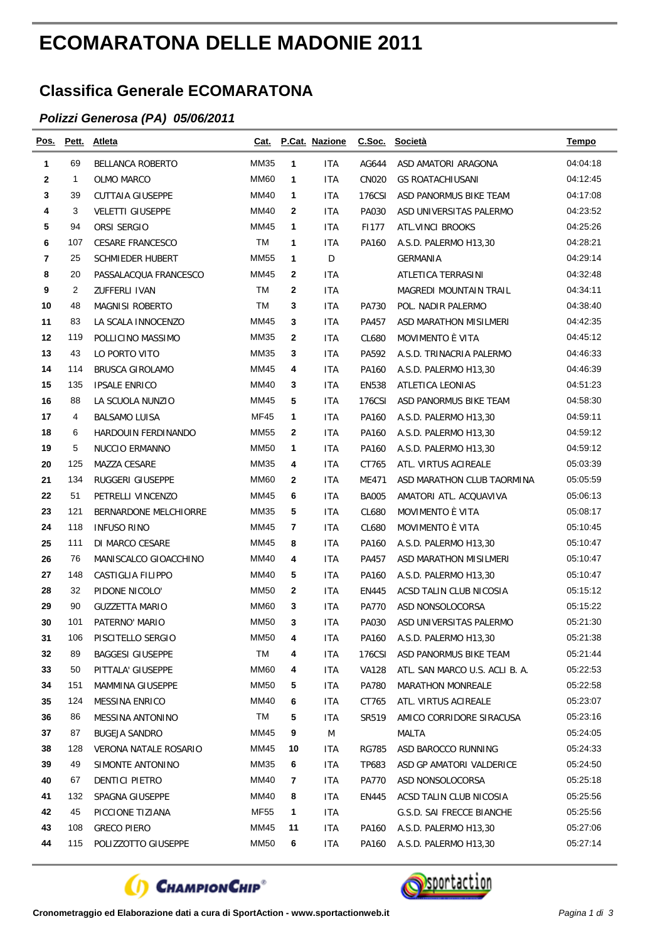## **ECOMARATONA DELLE MADONIE 2011**

## **Classifica Generale ECOMARATONA**

## *Polizzi Generosa (PA) 05/06/2011*

| Pos. | Pett. | <b>Atleta</b>           | Cat.        |              | P.Cat. Nazione | C.Soc.       | Società                        | Tempo    |
|------|-------|-------------------------|-------------|--------------|----------------|--------------|--------------------------------|----------|
| 1    | 69    | <b>BELLANCA ROBERTO</b> | MM35        | 1            | <b>ITA</b>     | AG644        | ASD AMATORI ARAGONA            | 04:04:18 |
| 2    | 1     | <b>OLMO MARCO</b>       | <b>MM60</b> | 1            | ITA            | <b>CN020</b> | <b>GS ROATACHIUSANI</b>        | 04:12:45 |
| 3    | 39    | <b>CUTTAIA GIUSEPPE</b> | MM40        | 1            | ITA            | 176CSI       | ASD PANORMUS BIKE TEAM         | 04:17:08 |
| 4    | 3     | <b>VELETTI GIUSEPPE</b> | MM40        | $\mathbf{2}$ | ITA            | PA030        | ASD UNIVERSITAS PALERMO        | 04:23:52 |
| 5    | 94    | ORSI SERGIO             | <b>MM45</b> | 1            | ITA            | F1177        | ATL.VINCI BROOKS               | 04:25:26 |
| 6    | 107   | <b>CESARE FRANCESCO</b> | ТM          | 1            | ITA            | PA160        | A.S.D. PALERMO H13,30          | 04:28:21 |
| 7    | 25    | <b>SCHMIEDER HUBERT</b> | <b>MM55</b> | $\mathbf 1$  | D              |              | GERMANIA                       | 04:29:14 |
| 8    | 20    | PASSALACQUA FRANCESCO   | MM45        | 2            | ITA            |              | ATLETICA TERRASINI             | 04:32:48 |
| 9    | 2     | ZUFFERLI IVAN           | TM          | 2            | <b>ITA</b>     |              | <b>MAGREDI MOUNTAIN TRAIL</b>  | 04:34:11 |
| 10   | 48    | <b>MAGNISI ROBERTO</b>  | ТM          | 3            | ITA            | PA730        | POL. NADIR PALERMO             | 04:38:40 |
| 11   | 83    | LA SCALA INNOCENZO      | MM45        | 3            | ITA            | PA457        | ASD MARATHON MISILMERI         | 04:42:35 |
| 12   | 119   | POLLICINO MASSIMO       | MM35        | 2            | ITA            | CL680        | MOVIMENTO È VITA               | 04:45:12 |
| 13   | 43    | LO PORTO VITO           | MM35        | 3            | ITA            | PA592        | A.S.D. TRINACRIA PALERMO       | 04:46:33 |
| 14   | 114   | <b>BRUSCA GIROLAMO</b>  | MM45        | 4            | ITA            | PA160        | A.S.D. PALERMO H13,30          | 04:46:39 |
| 15   | 135   | <b>IPSALE ENRICO</b>    | MM40        | 3            | ITA            | <b>EN538</b> | ATLETICA LEONIAS               | 04:51:23 |
| 16   | 88    | LA SCUOLA NUNZIO        | MM45        | 5            | ITA            | 176CSI       | ASD PANORMUS BIKE TEAM         | 04:58:30 |
| 17   | 4     | <b>BALSAMO LUISA</b>    | <b>MF45</b> | 1            | ITA            | PA160        | A.S.D. PALERMO H13,30          | 04:59:11 |
| 18   | 6     | HARDOUIN FERDINANDO     | <b>MM55</b> | $\mathbf{2}$ | ITA            | PA160        | A.S.D. PALERMO H13,30          | 04:59:12 |
| 19   | 5     | NUCCIO ERMANNO          | <b>MM50</b> | 1            | <b>ITA</b>     | PA160        | A.S.D. PALERMO H13,30          | 04:59:12 |
| 20   | 125   | MAZZA CESARE            | MM35        | 4            | ITA            | CT765        | ATL. VIRTUS ACIREALE           | 05:03:39 |
| 21   | 134   | RUGGERI GIUSEPPE        | MM60        | $\mathbf{2}$ | ITA            | ME471        | ASD MARATHON CLUB TAORMINA     | 05:05:59 |
| 22   | 51    | PETRELLI VINCENZO       | MM45        | 6            | ITA            | <b>BA005</b> | AMATORI ATL. ACQUAVIVA         | 05:06:13 |
| 23   | 121   | BERNARDONE MELCHIORRE   | MM35        | 5            | ITA            | CL680        | MOVIMENTO È VITA               | 05:08:17 |
| 24   | 118   | <b>INFUSO RINO</b>      | MM45        | 7            | ITA            | CL680        | MOVIMENTO È VITA               | 05:10:45 |
| 25   | 111   | DI MARCO CESARE         | MM45        | 8            | <b>ITA</b>     | PA160        | A.S.D. PALERMO H13,30          | 05:10:47 |
| 26   | 76    | MANISCALCO GIOACCHINO   | MM40        | 4            | ITA            | PA457        | ASD MARATHON MISILMERI         | 05:10:47 |
| 27   | 148   | CASTIGLIA FILIPPO       | MM40        | 5            | <b>ITA</b>     | PA160        | A.S.D. PALERMO H13,30          | 05:10:47 |
| 28   | 32    | PIDONE NICOLO'          | <b>MM50</b> | $\mathbf{2}$ | ITA            | EN445        | ACSD TALIN CLUB NICOSIA        | 05:15:12 |
| 29   | 90    | <b>GUZZETTA MARIO</b>   | <b>MM60</b> | 3            | ITA            | <b>PA770</b> | ASD NONSOLOCORSA               | 05:15:22 |
| 30   | 101   | PATERNO' MARIO          | <b>MM50</b> | 3            | ITA            | PA030        | ASD UNIVERSITAS PALERMO        | 05:21:30 |
| 31   | 106   | PISCITELLO SERGIO       | <b>MM50</b> | 4            | <b>ITA</b>     | PA160        | A.S.D. PALERMO H13,30          | 05:21:38 |
| 32   | 89    | <b>BAGGESI GIUSEPPE</b> | TM          | 4            | ITA            | 176CSI       | ASD PANORMUS BIKE TEAM         | 05:21:44 |
| 33   | 50    | PITTALA' GIUSEPPE       | <b>MM60</b> | 4            | <b>ITA</b>     | VA128        | ATL. SAN MARCO U.S. ACLI B. A. | 05:22:53 |
| 34   | 151   | MAMMINA GIUSEPPE        | MM50        | 5            | <b>ITA</b>     | PA780        | <b>MARATHON MONREALE</b>       | 05:22:58 |
| 35   | 124   | MESSINA ENRICO          | MM40        | 6            | ITA            | CT765        | ATL. VIRTUS ACIREALE           | 05:23:07 |
| 36   | 86    | <b>MESSINA ANTONINO</b> | TM          | 5            | ITA            | SR519        | AMICO CORRIDORE SIRACUSA       | 05:23:16 |
| 37   | 87    | <b>BUGEJA SANDRO</b>    | MM45        | 9            | M              |              | MALTA                          | 05:24:05 |
| 38   | 128   | VERONA NATALE ROSARIO   | MM45        | 10           | ITA            | <b>RG785</b> | ASD BAROCCO RUNNING            | 05:24:33 |
| 39   | 49    | SIMONTE ANTONINO        | MM35        | 6            | ITA            | TP683        | ASD GP AMATORI VALDERICE       | 05:24:50 |
| 40   | 67    | <b>DENTICI PIETRO</b>   | MM40        | 7            | ITA            | PA770        | ASD NONSOLOCORSA               | 05:25:18 |
| 41   | 132   | SPAGNA GIUSEPPE         | MM40        | 8            | <b>ITA</b>     | EN445        | ACSD TALIN CLUB NICOSIA        | 05:25:56 |
| 42   | 45    | PICCIONE TIZIANA        | MF55        | 1            | <b>ITA</b>     |              | G.S.D. SAI FRECCE BIANCHE      | 05:25:56 |
| 43   | 108   | <b>GRECO PIERO</b>      | MM45        | 11           | ITA            | PA160        | A.S.D. PALERMO H13,30          | 05:27:06 |
| 44   | 115   | POLIZZOTTO GIUSEPPE     | <b>MM50</b> | 6            | ITA            | PA160        | A.S.D. PALERMO H13,30          | 05:27:14 |



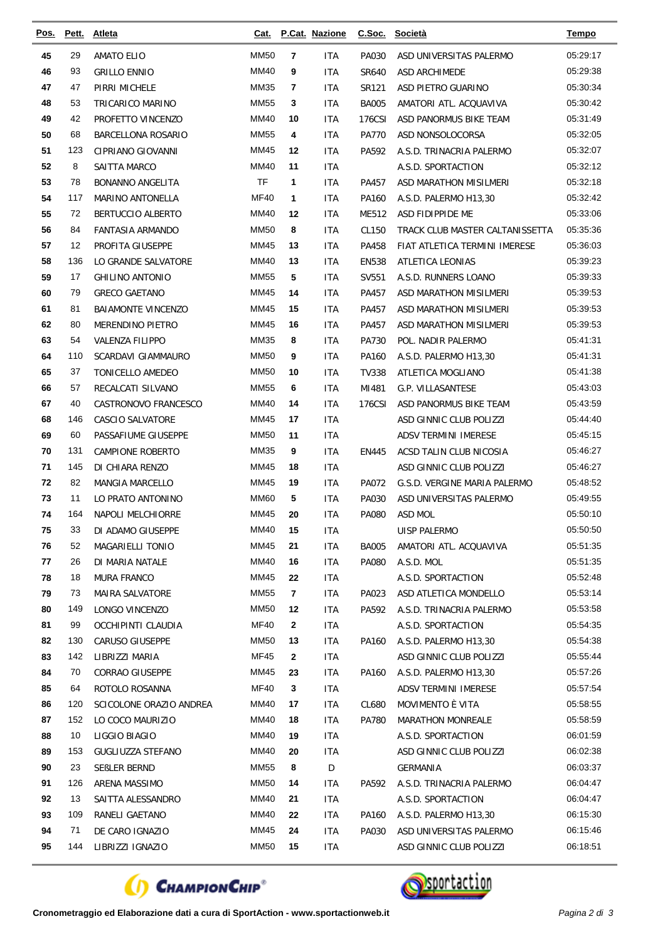| <u>Pos.</u> | Pett.      | <b>Atleta</b>                     | Cat.                       |                    | P.Cat. Nazione    |              | C.Soc. Società                                | <b>Tempo</b>         |
|-------------|------------|-----------------------------------|----------------------------|--------------------|-------------------|--------------|-----------------------------------------------|----------------------|
| 45          | 29         | <b>AMATO ELIO</b>                 | <b>MM50</b>                | $\overline{7}$     | ITA               | PA030        | ASD UNIVERSITAS PALERMO                       | 05:29:17             |
| 46          | 93         | <b>GRILLO ENNIO</b>               | MM40                       | 9                  | ITA               | SR640        | ASD ARCHIMEDE                                 | 05:29:38             |
| 47          | 47         | PIRRI MICHELE                     | MM35                       | $\overline{7}$     | <b>ITA</b>        | SR121        | ASD PIETRO GUARINO                            | 05:30:34             |
| 48          | 53         | TRICARICO MARINO                  | <b>MM55</b>                | 3                  | ITA               | <b>BA005</b> | AMATORI ATL. ACQUAVIVA                        | 05:30:42             |
| 49          | 42         | PROFETTO VINCENZO                 | MM40                       | 10                 | <b>ITA</b>        | 176CSI       | ASD PANORMUS BIKE TEAM                        | 05:31:49             |
| 50          | 68         | BARCELLONA ROSARIO                | <b>MM55</b>                | 4                  | <b>ITA</b>        | <b>PA770</b> | ASD NONSOLOCORSA                              | 05:32:05             |
| 51          | 123        | CIPRIANO GIOVANNI                 | MM45                       | 12                 | ITA               | PA592        | A.S.D. TRINACRIA PALERMO                      | 05:32:07             |
| 52          | 8          | SAITTA MARCO                      | MM40                       | 11                 | <b>ITA</b>        |              | A.S.D. SPORTACTION                            | 05:32:12             |
| 53          | 78         | <b>BONANNO ANGELITA</b>           | <b>TF</b>                  | 1                  | ITA               | PA457        | ASD MARATHON MISILMERI                        | 05:32:18             |
| 54          | 117        | MARINO ANTONELLA                  | <b>MF40</b>                | 1                  | ITA               | PA160        | A.S.D. PALERMO H13,30                         | 05:32:42             |
| 55          | 72         | BERTUCCIO ALBERTO                 | MM40                       | 12                 | ITA               | ME512        | ASD FIDIPPIDE ME                              | 05:33:06             |
| 56          | 84         | <b>FANTASIA ARMANDO</b>           | <b>MM50</b>                | 8                  | <b>ITA</b>        | CL150        | TRACK CLUB MASTER CALTANISSETTA               | 05:35:36             |
| 57          | 12         | PROFITA GIUSEPPE                  | MM45                       | 13                 | <b>ITA</b>        | PA458        | FIAT ATLETICA TERMINI IMERESE                 | 05:36:03             |
| 58          | 136        | LO GRANDE SALVATORE               | MM40                       | 13                 | <b>ITA</b>        | <b>EN538</b> | <b>ATLETICA LEONIAS</b>                       | 05:39:23             |
| 59          | 17         | <b>GHILINO ANTONIO</b>            | <b>MM55</b>                | 5                  | <b>ITA</b>        | SV551        | A.S.D. RUNNERS LOANO                          | 05:39:33             |
| 60          | 79         | <b>GRECO GAETANO</b>              | <b>MM45</b>                | 14                 | <b>ITA</b>        | PA457        | ASD MARATHON MISILMERI                        | 05:39:53             |
| 61          | 81         | <b>BAIAMONTE VINCENZO</b>         | MM45                       | 15                 | <b>ITA</b>        | PA457        | ASD MARATHON MISILMERI                        | 05:39:53             |
| 62          | 80         | MERENDINO PIETRO                  | MM45                       | 16                 | ITA               | PA457        | ASD MARATHON MISILMERI                        | 05:39:53             |
| 63          | 54         | <b>VALENZA FILIPPO</b>            | MM35                       | 8                  | <b>ITA</b>        | PA730        | POL. NADIR PALERMO                            | 05:41:31             |
| 64          | 110        | SCARDAVI GIAMMAURO                | <b>MM50</b>                | 9                  | <b>ITA</b>        | PA160        | A.S.D. PALERMO H13,30                         | 05:41:31             |
| 65          | 37         | TONICELLO AMEDEO                  | <b>MM50</b>                | 10                 | <b>ITA</b>        | <b>TV338</b> | ATLETICA MOGLIANO                             | 05:41:38             |
| 66          | 57         | RECALCATI SILVANO                 | MM55                       | 6                  | <b>ITA</b>        | MI481        | G.P. VILLASANTESE                             | 05:43:03             |
| 67          | 40         | CASTRONOVO FRANCESCO              | MM40                       | 14                 | <b>ITA</b>        | 176CSI       | ASD PANORMUS BIKE TEAM                        | 05:43:59             |
| 68          | 146        | <b>CASCIO SALVATORE</b>           | MM45                       | 17                 | ITA               |              | ASD GINNIC CLUB POLIZZI                       | 05:44:40             |
| 69          | 60         | PASSAFIUME GIUSEPPE               | <b>MM50</b>                | 11                 | ITA               |              | ADSV TERMINI IMERESE                          | 05:45:15             |
| 70          | 131        | <b>CAMPIONE ROBERTO</b>           | <b>MM35</b>                | 9                  | ITA               | EN445        | ACSD TALIN CLUB NICOSIA                       | 05:46:27             |
| 71          | 145        | DI CHIARA RENZO                   | <b>MM45</b>                | 18                 | ITA.              |              | ASD GINNIC CLUB POLIZZI                       | 05:46:27             |
| 72          | 82         | <b>MANGIA MARCELLO</b>            | MM45                       | 19                 | <b>ITA</b>        | PA072        | G.S.D. VERGINE MARIA PALERMO                  | 05:48:52             |
| 73          | 11         | LO PRATO ANTONINO                 | <b>MM60</b>                | 5                  | ITA               | PA030        | ASD UNIVERSITAS PALERMO                       | 05:49:55             |
| 74          | 164        | NAPOLI MELCHIORRE                 | MM45                       | 20                 | ITA               | PA080        | ASD MOL                                       | 05:50:10             |
| 75          | 33         | DI ADAMO GIUSEPPE                 | <b>MM40</b>                | 15                 | <b>ITA</b>        |              | UISP PALERMO                                  | 05:50:50             |
| 76          | 52         | MAGARIELLI TONIO                  | MM45                       | 21                 | ITA               | <b>BA005</b> | AMATORI ATL. ACQUAVIVA                        | 05:51:35             |
| 77          | 26         | DI MARIA NATALE                   | MM40                       | 16                 | <b>ITA</b>        | PA080        | A.S.D. MOL                                    | 05:51:35             |
| 78          | 18         | MURA FRANCO                       | MM45                       | 22                 | <b>ITA</b>        |              | A.S.D. SPORTACTION                            | 05:52:48             |
| 79          | 73         | MAIRA SALVATORE                   | <b>MM55</b>                | 7                  | <b>ITA</b>        | PA023        | ASD ATLETICA MONDELLO                         | 05:53:14             |
| 80          | 149        | LONGO VINCENZO                    | MM50                       | 12                 | ITA               | PA592        | A.S.D. TRINACRIA PALERMO                      | 05:53:58             |
| 81          | 99         | OCCHIPINTI CLAUDIA                | MF40                       | $\mathbf{2}$       | <b>ITA</b>        |              | A.S.D. SPORTACTION                            | 05:54:35             |
| 82<br>83    | 130<br>142 | <b>CARUSO GIUSEPPE</b>            | <b>MM50</b><br><b>MF45</b> | 13<br>$\mathbf{2}$ | ITA               | PA160        | A.S.D. PALERMO H13.30                         | 05:54:38             |
| 84          | 70         | LIBRIZZI MARIA<br>CORRAO GIUSEPPE | MM45                       | 23                 | <b>ITA</b>        |              | ASD GINNIC CLUB POLIZZI                       | 05:55:44<br>05:57:26 |
| 85          | 64         | ROTOLO ROSANNA                    | <b>MF40</b>                | 3                  | ITA<br><b>ITA</b> | PA160        | A.S.D. PALERMO H13,30<br>ADSV TERMINI IMERESE | 05:57:54             |
| 86          | 120        | SCICOLONE ORAZIO ANDREA           | MM40                       | 17                 | ITA               | CL680        | MOVIMENTO È VITA                              | 05:58:55             |
| 87          | 152        | LO COCO MAURIZIO                  | MM40                       | 18                 | ITA               | PA780        | <b>MARATHON MONREALE</b>                      | 05:58:59             |
| 88          | 10         | LIGGIO BIAGIO                     | MM40                       | 19                 | <b>ITA</b>        |              | A.S.D. SPORTACTION                            | 06:01:59             |
| 89          | 153        | GUGLIUZZA STEFANO                 | MM40                       | 20                 | <b>ITA</b>        |              | ASD GINNIC CLUB POLIZZI                       | 06:02:38             |
| 90          | 23         | SEBLER BERND                      | MM55                       | 8                  | D                 |              | <b>GERMANIA</b>                               | 06:03:37             |
| 91          | 126        | ARENA MASSIMO                     | MM50                       | 14                 | ITA               | PA592        | A.S.D. TRINACRIA PALERMO                      | 06:04:47             |
| 92          | 13         | SAITTA ALESSANDRO                 | MM40                       | 21                 | <b>ITA</b>        |              | A.S.D. SPORTACTION                            | 06:04:47             |
| 93          | 109        | RANELI GAETANO                    | MM40                       | 22                 | <b>ITA</b>        | PA160        | A.S.D. PALERMO H13,30                         | 06:15:30             |
| 94          | 71         | DE CARO IGNAZIO                   | MM45                       | 24                 | ITA               | PA030        | ASD UNIVERSITAS PALERMO                       | 06:15:46             |
| 95          | 144        | LIBRIZZI IGNAZIO                  | <b>MM50</b>                | 15                 | ITA               |              | ASD GINNIC CLUB POLIZZI                       | 06:18:51             |
|             |            |                                   |                            |                    |                   |              |                                               |                      |